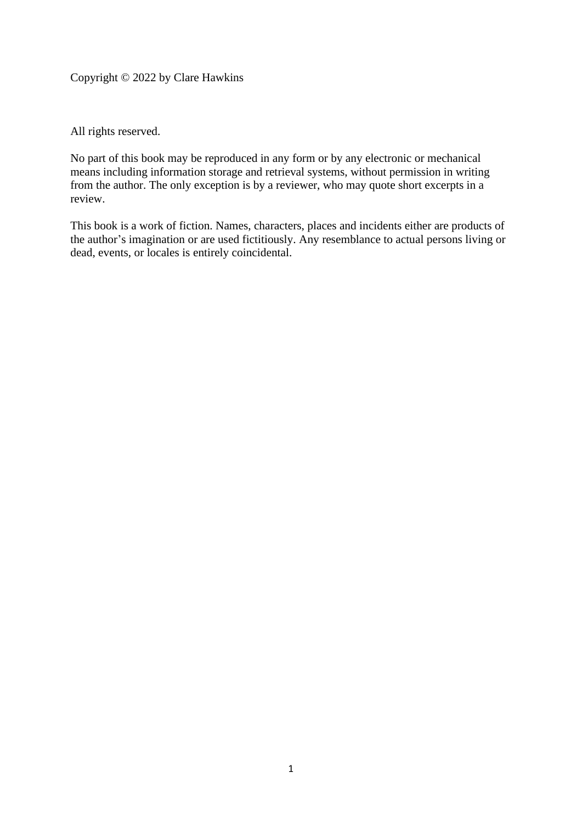Copyright © 2022 by Clare Hawkins

All rights reserved.

No part of this book may be reproduced in any form or by any electronic or mechanical means including information storage and retrieval systems, without permission in writing from the author. The only exception is by a reviewer, who may quote short excerpts in a review.

This book is a work of fiction. Names, characters, places and incidents either are products of the author's imagination or are used fictitiously. Any resemblance to actual persons living or dead, events, or locales is entirely coincidental.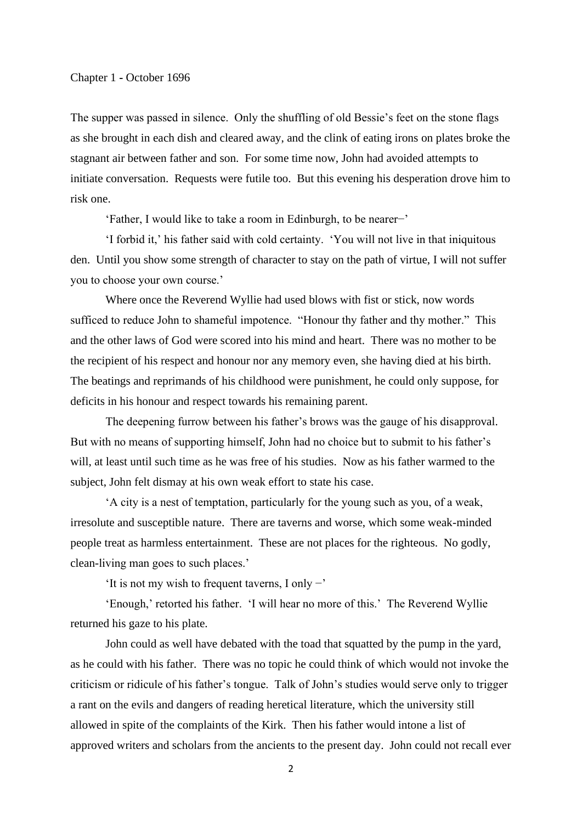## Chapter 1 **-** October 1696

The supper was passed in silence. Only the shuffling of old Bessie's feet on the stone flags as she brought in each dish and cleared away, and the clink of eating irons on plates broke the stagnant air between father and son. For some time now, John had avoided attempts to initiate conversation. Requests were futile too. But this evening his desperation drove him to risk one.

'Father, I would like to take a room in Edinburgh, to be nearer−'

'I forbid it,' his father said with cold certainty. 'You will not live in that iniquitous den. Until you show some strength of character to stay on the path of virtue, I will not suffer you to choose your own course.'

Where once the Reverend Wyllie had used blows with fist or stick, now words sufficed to reduce John to shameful impotence. "Honour thy father and thy mother." This and the other laws of God were scored into his mind and heart. There was no mother to be the recipient of his respect and honour nor any memory even, she having died at his birth. The beatings and reprimands of his childhood were punishment, he could only suppose, for deficits in his honour and respect towards his remaining parent.

The deepening furrow between his father's brows was the gauge of his disapproval. But with no means of supporting himself, John had no choice but to submit to his father's will, at least until such time as he was free of his studies. Now as his father warmed to the subject, John felt dismay at his own weak effort to state his case.

'A city is a nest of temptation, particularly for the young such as you, of a weak, irresolute and susceptible nature. There are taverns and worse, which some weak-minded people treat as harmless entertainment. These are not places for the righteous. No godly, clean-living man goes to such places.'

'It is not my wish to frequent taverns, I only  $-$ '

'Enough,' retorted his father. 'I will hear no more of this.' The Reverend Wyllie returned his gaze to his plate.

John could as well have debated with the toad that squatted by the pump in the yard, as he could with his father. There was no topic he could think of which would not invoke the criticism or ridicule of his father's tongue. Talk of John's studies would serve only to trigger a rant on the evils and dangers of reading heretical literature, which the university still allowed in spite of the complaints of the Kirk. Then his father would intone a list of approved writers and scholars from the ancients to the present day. John could not recall ever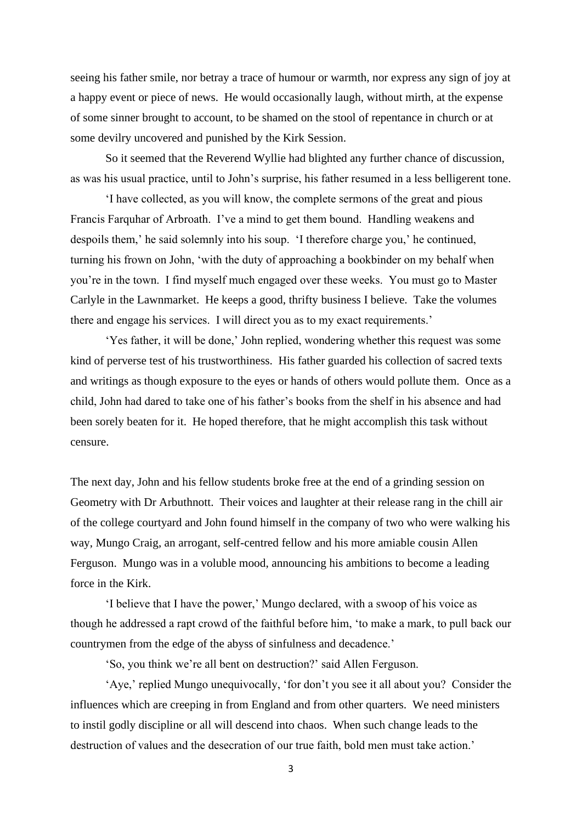seeing his father smile, nor betray a trace of humour or warmth, nor express any sign of joy at a happy event or piece of news. He would occasionally laugh, without mirth, at the expense of some sinner brought to account, to be shamed on the stool of repentance in church or at some devilry uncovered and punished by the Kirk Session.

So it seemed that the Reverend Wyllie had blighted any further chance of discussion, as was his usual practice, until to John's surprise, his father resumed in a less belligerent tone.

'I have collected, as you will know, the complete sermons of the great and pious Francis Farquhar of Arbroath. I've a mind to get them bound. Handling weakens and despoils them,' he said solemnly into his soup. 'I therefore charge you,' he continued, turning his frown on John, 'with the duty of approaching a bookbinder on my behalf when you're in the town. I find myself much engaged over these weeks. You must go to Master Carlyle in the Lawnmarket. He keeps a good, thrifty business I believe. Take the volumes there and engage his services. I will direct you as to my exact requirements.'

'Yes father, it will be done,' John replied, wondering whether this request was some kind of perverse test of his trustworthiness. His father guarded his collection of sacred texts and writings as though exposure to the eyes or hands of others would pollute them. Once as a child, John had dared to take one of his father's books from the shelf in his absence and had been sorely beaten for it. He hoped therefore, that he might accomplish this task without censure.

The next day, John and his fellow students broke free at the end of a grinding session on Geometry with Dr Arbuthnott. Their voices and laughter at their release rang in the chill air of the college courtyard and John found himself in the company of two who were walking his way, Mungo Craig, an arrogant, self-centred fellow and his more amiable cousin Allen Ferguson. Mungo was in a voluble mood, announcing his ambitions to become a leading force in the Kirk.

'I believe that I have the power,' Mungo declared, with a swoop of his voice as though he addressed a rapt crowd of the faithful before him, 'to make a mark, to pull back our countrymen from the edge of the abyss of sinfulness and decadence.'

'So, you think we're all bent on destruction?' said Allen Ferguson.

'Aye,' replied Mungo unequivocally, 'for don't you see it all about you? Consider the influences which are creeping in from England and from other quarters. We need ministers to instil godly discipline or all will descend into chaos. When such change leads to the destruction of values and the desecration of our true faith, bold men must take action.'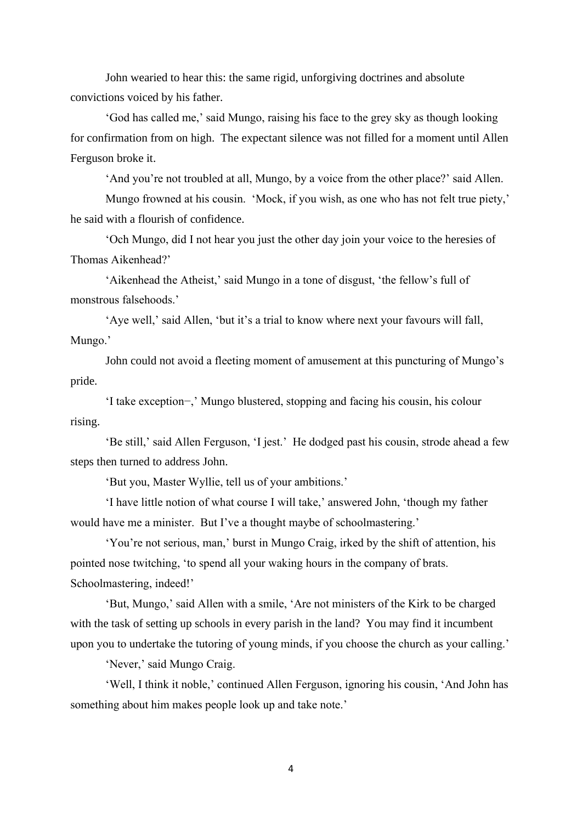John wearied to hear this: the same rigid, unforgiving doctrines and absolute convictions voiced by his father.

'God has called me,' said Mungo, raising his face to the grey sky as though looking for confirmation from on high. The expectant silence was not filled for a moment until Allen Ferguson broke it.

'And you're not troubled at all, Mungo, by a voice from the other place?' said Allen.

Mungo frowned at his cousin. 'Mock, if you wish, as one who has not felt true piety,' he said with a flourish of confidence.

'Och Mungo, did I not hear you just the other day join your voice to the heresies of Thomas Aikenhead?'

'Aikenhead the Atheist,' said Mungo in a tone of disgust, 'the fellow's full of monstrous falsehoods.'

'Aye well,' said Allen, 'but it's a trial to know where next your favours will fall, Mungo.'

John could not avoid a fleeting moment of amusement at this puncturing of Mungo's pride.

'I take exception−,' Mungo blustered, stopping and facing his cousin, his colour rising.

'Be still,' said Allen Ferguson, 'I jest.' He dodged past his cousin, strode ahead a few steps then turned to address John.

'But you, Master Wyllie, tell us of your ambitions.'

'I have little notion of what course I will take,' answered John, 'though my father would have me a minister. But I've a thought maybe of schoolmastering.'

'You're not serious, man,' burst in Mungo Craig, irked by the shift of attention, his pointed nose twitching, 'to spend all your waking hours in the company of brats. Schoolmastering, indeed!'

'But, Mungo,' said Allen with a smile, 'Are not ministers of the Kirk to be charged with the task of setting up schools in every parish in the land? You may find it incumbent upon you to undertake the tutoring of young minds, if you choose the church as your calling.'

'Never,' said Mungo Craig.

'Well, I think it noble,' continued Allen Ferguson, ignoring his cousin, 'And John has something about him makes people look up and take note.'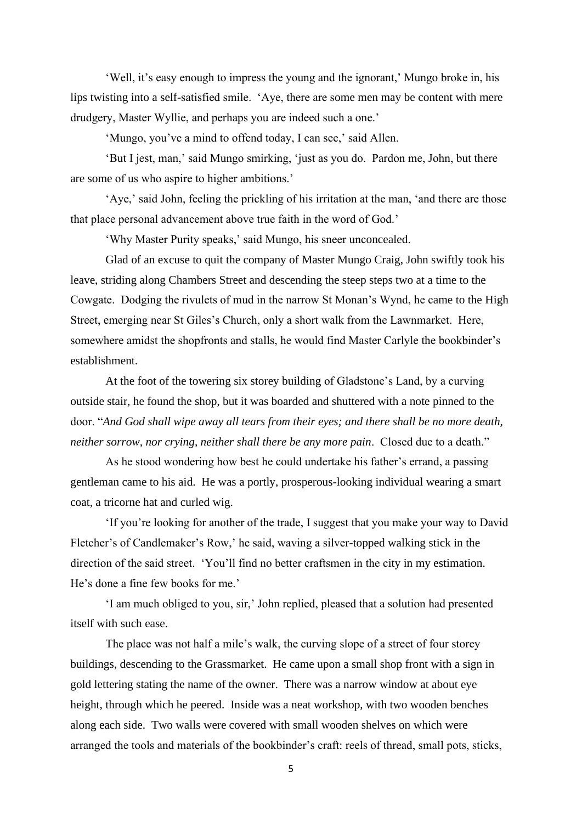'Well, it's easy enough to impress the young and the ignorant,' Mungo broke in, his lips twisting into a self-satisfied smile. 'Aye, there are some men may be content with mere drudgery, Master Wyllie, and perhaps you are indeed such a one.'

'Mungo, you've a mind to offend today, I can see,' said Allen.

'But I jest, man,' said Mungo smirking, 'just as you do. Pardon me, John, but there are some of us who aspire to higher ambitions.'

'Aye,' said John, feeling the prickling of his irritation at the man, 'and there are those that place personal advancement above true faith in the word of God.'

'Why Master Purity speaks,' said Mungo, his sneer unconcealed.

Glad of an excuse to quit the company of Master Mungo Craig, John swiftly took his leave, striding along Chambers Street and descending the steep steps two at a time to the Cowgate. Dodging the rivulets of mud in the narrow St Monan's Wynd, he came to the High Street, emerging near St Giles's Church, only a short walk from the Lawnmarket. Here, somewhere amidst the shopfronts and stalls, he would find Master Carlyle the bookbinder's establishment.

At the foot of the towering six storey building of Gladstone's Land, by a curving outside stair, he found the shop, but it was boarded and shuttered with a note pinned to the door. "*And God shall wipe away all tears from their eyes; and there shall be no more death, neither sorrow, nor crying, neither shall there be any more pain*. Closed due to a death."

As he stood wondering how best he could undertake his father's errand, a passing gentleman came to his aid. He was a portly, prosperous-looking individual wearing a smart coat, a tricorne hat and curled wig.

'If you're looking for another of the trade, I suggest that you make your way to David Fletcher's of Candlemaker's Row,' he said, waving a silver-topped walking stick in the direction of the said street. 'You'll find no better craftsmen in the city in my estimation. He's done a fine few books for me.'

'I am much obliged to you, sir,' John replied, pleased that a solution had presented itself with such ease.

The place was not half a mile's walk, the curving slope of a street of four storey buildings, descending to the Grassmarket. He came upon a small shop front with a sign in gold lettering stating the name of the owner. There was a narrow window at about eye height, through which he peered. Inside was a neat workshop, with two wooden benches along each side. Two walls were covered with small wooden shelves on which were arranged the tools and materials of the bookbinder's craft: reels of thread, small pots, sticks,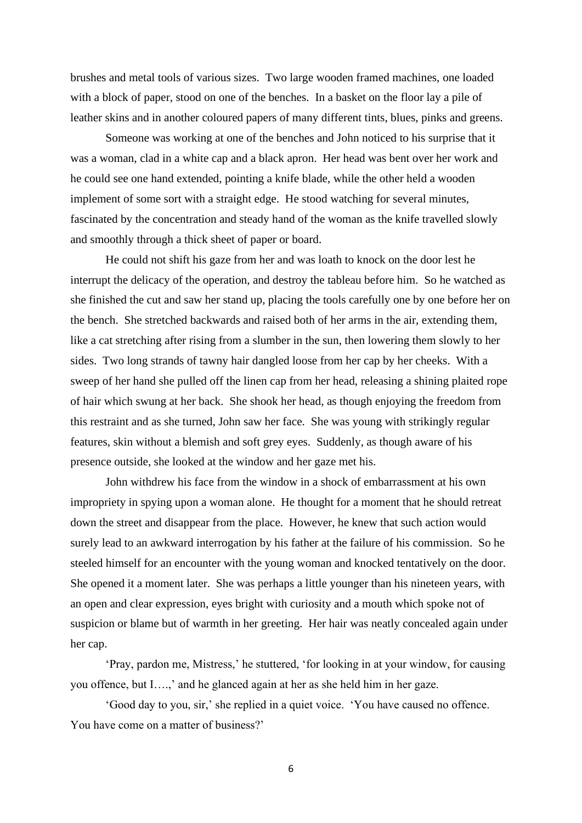brushes and metal tools of various sizes. Two large wooden framed machines, one loaded with a block of paper, stood on one of the benches. In a basket on the floor lay a pile of leather skins and in another coloured papers of many different tints, blues, pinks and greens.

Someone was working at one of the benches and John noticed to his surprise that it was a woman, clad in a white cap and a black apron. Her head was bent over her work and he could see one hand extended, pointing a knife blade, while the other held a wooden implement of some sort with a straight edge. He stood watching for several minutes, fascinated by the concentration and steady hand of the woman as the knife travelled slowly and smoothly through a thick sheet of paper or board.

He could not shift his gaze from her and was loath to knock on the door lest he interrupt the delicacy of the operation, and destroy the tableau before him. So he watched as she finished the cut and saw her stand up, placing the tools carefully one by one before her on the bench. She stretched backwards and raised both of her arms in the air, extending them, like a cat stretching after rising from a slumber in the sun, then lowering them slowly to her sides. Two long strands of tawny hair dangled loose from her cap by her cheeks. With a sweep of her hand she pulled off the linen cap from her head, releasing a shining plaited rope of hair which swung at her back. She shook her head, as though enjoying the freedom from this restraint and as she turned, John saw her face. She was young with strikingly regular features, skin without a blemish and soft grey eyes. Suddenly, as though aware of his presence outside, she looked at the window and her gaze met his.

John withdrew his face from the window in a shock of embarrassment at his own impropriety in spying upon a woman alone. He thought for a moment that he should retreat down the street and disappear from the place. However, he knew that such action would surely lead to an awkward interrogation by his father at the failure of his commission. So he steeled himself for an encounter with the young woman and knocked tentatively on the door. She opened it a moment later. She was perhaps a little younger than his nineteen years, with an open and clear expression, eyes bright with curiosity and a mouth which spoke not of suspicion or blame but of warmth in her greeting. Her hair was neatly concealed again under her cap.

'Pray, pardon me, Mistress,' he stuttered, 'for looking in at your window, for causing you offence, but I….,' and he glanced again at her as she held him in her gaze.

'Good day to you, sir,' she replied in a quiet voice. 'You have caused no offence. You have come on a matter of business?'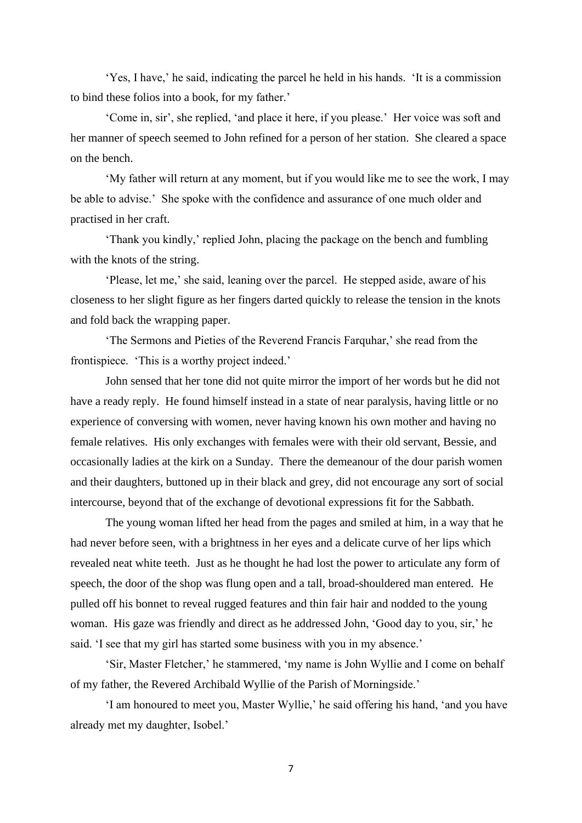'Yes, I have,' he said, indicating the parcel he held in his hands. 'It is a commission to bind these folios into a book, for my father.'

'Come in, sir', she replied, 'and place it here, if you please.' Her voice was soft and her manner of speech seemed to John refined for a person of her station. She cleared a space on the bench.

'My father will return at any moment, but if you would like me to see the work, I may be able to advise.' She spoke with the confidence and assurance of one much older and practised in her craft.

'Thank you kindly,' replied John, placing the package on the bench and fumbling with the knots of the string.

'Please, let me,' she said, leaning over the parcel. He stepped aside, aware of his closeness to her slight figure as her fingers darted quickly to release the tension in the knots and fold back the wrapping paper.

'The Sermons and Pieties of the Reverend Francis Farquhar,' she read from the frontispiece. 'This is a worthy project indeed.'

John sensed that her tone did not quite mirror the import of her words but he did not have a ready reply. He found himself instead in a state of near paralysis, having little or no experience of conversing with women, never having known his own mother and having no female relatives. His only exchanges with females were with their old servant, Bessie, and occasionally ladies at the kirk on a Sunday. There the demeanour of the dour parish women and their daughters, buttoned up in their black and grey, did not encourage any sort of social intercourse, beyond that of the exchange of devotional expressions fit for the Sabbath.

The young woman lifted her head from the pages and smiled at him, in a way that he had never before seen, with a brightness in her eyes and a delicate curve of her lips which revealed neat white teeth. Just as he thought he had lost the power to articulate any form of speech, the door of the shop was flung open and a tall, broad-shouldered man entered. He pulled off his bonnet to reveal rugged features and thin fair hair and nodded to the young woman. His gaze was friendly and direct as he addressed John, 'Good day to you, sir,' he said. 'I see that my girl has started some business with you in my absence.'

'Sir, Master Fletcher,' he stammered, 'my name is John Wyllie and I come on behalf of my father, the Revered Archibald Wyllie of the Parish of Morningside.'

'I am honoured to meet you, Master Wyllie,' he said offering his hand, 'and you have already met my daughter, Isobel.'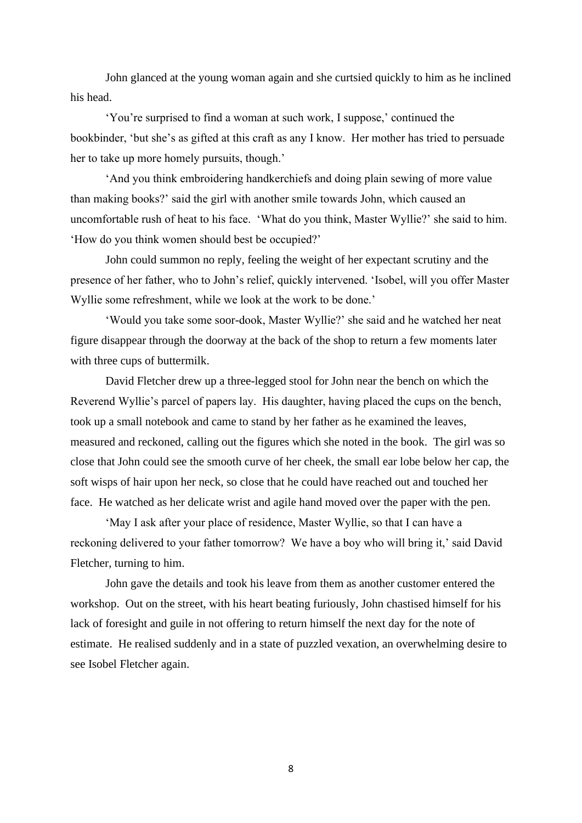John glanced at the young woman again and she curtsied quickly to him as he inclined his head.

'You're surprised to find a woman at such work, I suppose,' continued the bookbinder, 'but she's as gifted at this craft as any I know. Her mother has tried to persuade her to take up more homely pursuits, though.'

'And you think embroidering handkerchiefs and doing plain sewing of more value than making books?' said the girl with another smile towards John, which caused an uncomfortable rush of heat to his face. 'What do you think, Master Wyllie?' she said to him. 'How do you think women should best be occupied?'

John could summon no reply, feeling the weight of her expectant scrutiny and the presence of her father, who to John's relief, quickly intervened. 'Isobel, will you offer Master Wyllie some refreshment, while we look at the work to be done.'

'Would you take some soor-dook, Master Wyllie?' she said and he watched her neat figure disappear through the doorway at the back of the shop to return a few moments later with three cups of buttermilk.

David Fletcher drew up a three-legged stool for John near the bench on which the Reverend Wyllie's parcel of papers lay. His daughter, having placed the cups on the bench, took up a small notebook and came to stand by her father as he examined the leaves, measured and reckoned, calling out the figures which she noted in the book. The girl was so close that John could see the smooth curve of her cheek, the small ear lobe below her cap, the soft wisps of hair upon her neck, so close that he could have reached out and touched her face. He watched as her delicate wrist and agile hand moved over the paper with the pen.

'May I ask after your place of residence, Master Wyllie, so that I can have a reckoning delivered to your father tomorrow? We have a boy who will bring it,' said David Fletcher, turning to him.

John gave the details and took his leave from them as another customer entered the workshop. Out on the street, with his heart beating furiously, John chastised himself for his lack of foresight and guile in not offering to return himself the next day for the note of estimate. He realised suddenly and in a state of puzzled vexation, an overwhelming desire to see Isobel Fletcher again.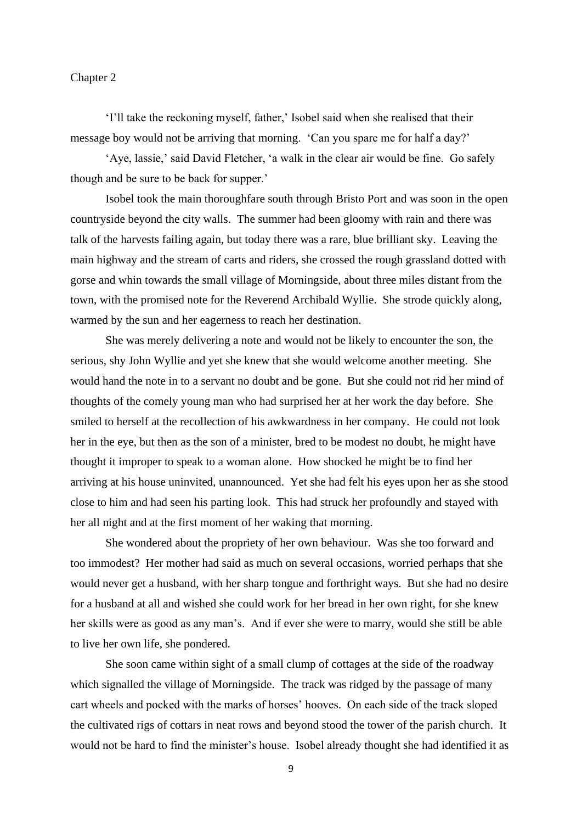## Chapter 2

'I'll take the reckoning myself, father,' Isobel said when she realised that their message boy would not be arriving that morning. 'Can you spare me for half a day?'

'Aye, lassie,' said David Fletcher, 'a walk in the clear air would be fine. Go safely though and be sure to be back for supper.'

Isobel took the main thoroughfare south through Bristo Port and was soon in the open countryside beyond the city walls. The summer had been gloomy with rain and there was talk of the harvests failing again, but today there was a rare, blue brilliant sky. Leaving the main highway and the stream of carts and riders, she crossed the rough grassland dotted with gorse and whin towards the small village of Morningside, about three miles distant from the town, with the promised note for the Reverend Archibald Wyllie. She strode quickly along, warmed by the sun and her eagerness to reach her destination.

She was merely delivering a note and would not be likely to encounter the son, the serious, shy John Wyllie and yet she knew that she would welcome another meeting. She would hand the note in to a servant no doubt and be gone. But she could not rid her mind of thoughts of the comely young man who had surprised her at her work the day before. She smiled to herself at the recollection of his awkwardness in her company. He could not look her in the eye, but then as the son of a minister, bred to be modest no doubt, he might have thought it improper to speak to a woman alone. How shocked he might be to find her arriving at his house uninvited, unannounced. Yet she had felt his eyes upon her as she stood close to him and had seen his parting look. This had struck her profoundly and stayed with her all night and at the first moment of her waking that morning.

She wondered about the propriety of her own behaviour. Was she too forward and too immodest? Her mother had said as much on several occasions, worried perhaps that she would never get a husband, with her sharp tongue and forthright ways. But she had no desire for a husband at all and wished she could work for her bread in her own right, for she knew her skills were as good as any man's. And if ever she were to marry, would she still be able to live her own life, she pondered.

She soon came within sight of a small clump of cottages at the side of the roadway which signalled the village of Morningside. The track was ridged by the passage of many cart wheels and pocked with the marks of horses' hooves. On each side of the track sloped the cultivated rigs of cottars in neat rows and beyond stood the tower of the parish church. It would not be hard to find the minister's house. Isobel already thought she had identified it as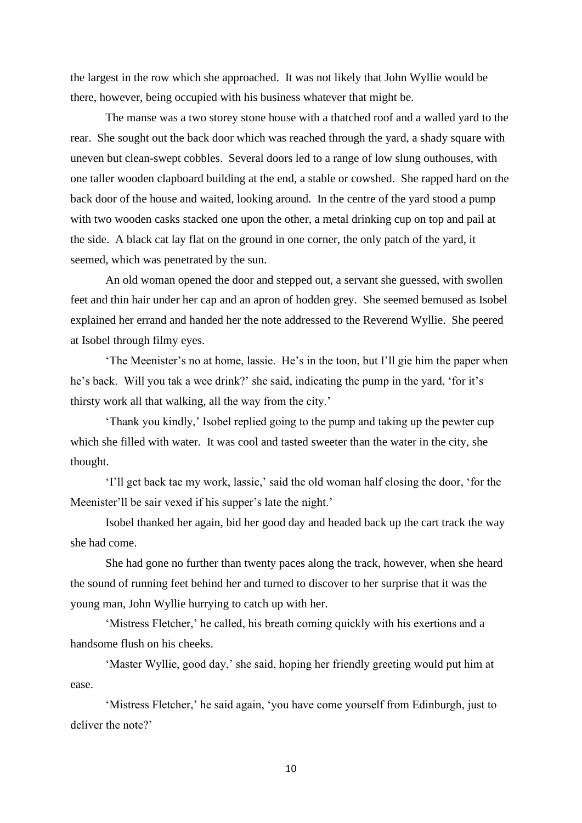the largest in the row which she approached. It was not likely that John Wyllie would be there, however, being occupied with his business whatever that might be.

The manse was a two storey stone house with a thatched roof and a walled yard to the rear. She sought out the back door which was reached through the yard, a shady square with uneven but clean-swept cobbles. Several doors led to a range of low slung outhouses, with one taller wooden clapboard building at the end, a stable or cowshed. She rapped hard on the back door of the house and waited, looking around. In the centre of the yard stood a pump with two wooden casks stacked one upon the other, a metal drinking cup on top and pail at the side. A black cat lay flat on the ground in one corner, the only patch of the yard, it seemed, which was penetrated by the sun.

An old woman opened the door and stepped out, a servant she guessed, with swollen feet and thin hair under her cap and an apron of hodden grey. She seemed bemused as Isobel explained her errand and handed her the note addressed to the Reverend Wyllie. She peered at Isobel through filmy eyes.

'The Meenister's no at home, lassie. He's in the toon, but I'll gie him the paper when he's back. Will you tak a wee drink?' she said, indicating the pump in the yard, 'for it's thirsty work all that walking, all the way from the city.'

'Thank you kindly,' Isobel replied going to the pump and taking up the pewter cup which she filled with water. It was cool and tasted sweeter than the water in the city, she thought.

'I'll get back tae my work, lassie,' said the old woman half closing the door, 'for the Meenister'll be sair vexed if his supper's late the night.'

Isobel thanked her again, bid her good day and headed back up the cart track the way she had come.

She had gone no further than twenty paces along the track, however, when she heard the sound of running feet behind her and turned to discover to her surprise that it was the young man, John Wyllie hurrying to catch up with her.

'Mistress Fletcher,' he called, his breath coming quickly with his exertions and a handsome flush on his cheeks.

'Master Wyllie, good day,' she said, hoping her friendly greeting would put him at ease.

'Mistress Fletcher,' he said again, 'you have come yourself from Edinburgh, just to deliver the note?'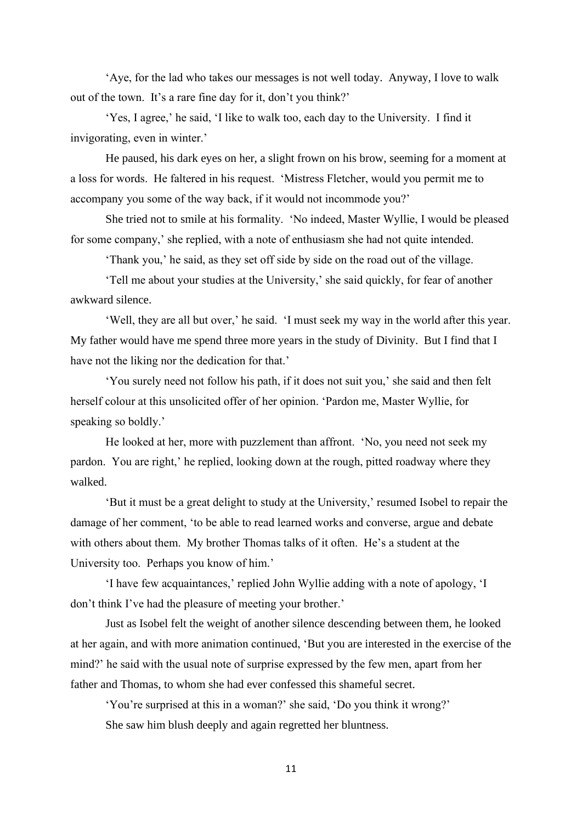'Aye, for the lad who takes our messages is not well today. Anyway, I love to walk out of the town. It's a rare fine day for it, don't you think?'

'Yes, I agree,' he said, 'I like to walk too, each day to the University. I find it invigorating, even in winter.'

He paused, his dark eyes on her, a slight frown on his brow, seeming for a moment at a loss for words. He faltered in his request. 'Mistress Fletcher, would you permit me to accompany you some of the way back, if it would not incommode you?'

She tried not to smile at his formality. 'No indeed, Master Wyllie, I would be pleased for some company,' she replied, with a note of enthusiasm she had not quite intended.

'Thank you,' he said, as they set off side by side on the road out of the village.

'Tell me about your studies at the University,' she said quickly, for fear of another awkward silence.

'Well, they are all but over,' he said. 'I must seek my way in the world after this year. My father would have me spend three more years in the study of Divinity. But I find that I have not the liking nor the dedication for that.'

'You surely need not follow his path, if it does not suit you,' she said and then felt herself colour at this unsolicited offer of her opinion. 'Pardon me, Master Wyllie, for speaking so boldly.'

He looked at her, more with puzzlement than affront. 'No, you need not seek my pardon. You are right,' he replied, looking down at the rough, pitted roadway where they walked.

'But it must be a great delight to study at the University,' resumed Isobel to repair the damage of her comment, 'to be able to read learned works and converse, argue and debate with others about them. My brother Thomas talks of it often. He's a student at the University too. Perhaps you know of him.'

'I have few acquaintances,' replied John Wyllie adding with a note of apology, 'I don't think I've had the pleasure of meeting your brother.'

Just as Isobel felt the weight of another silence descending between them, he looked at her again, and with more animation continued, 'But you are interested in the exercise of the mind?' he said with the usual note of surprise expressed by the few men, apart from her father and Thomas, to whom she had ever confessed this shameful secret.

'You're surprised at this in a woman?' she said, 'Do you think it wrong?' She saw him blush deeply and again regretted her bluntness.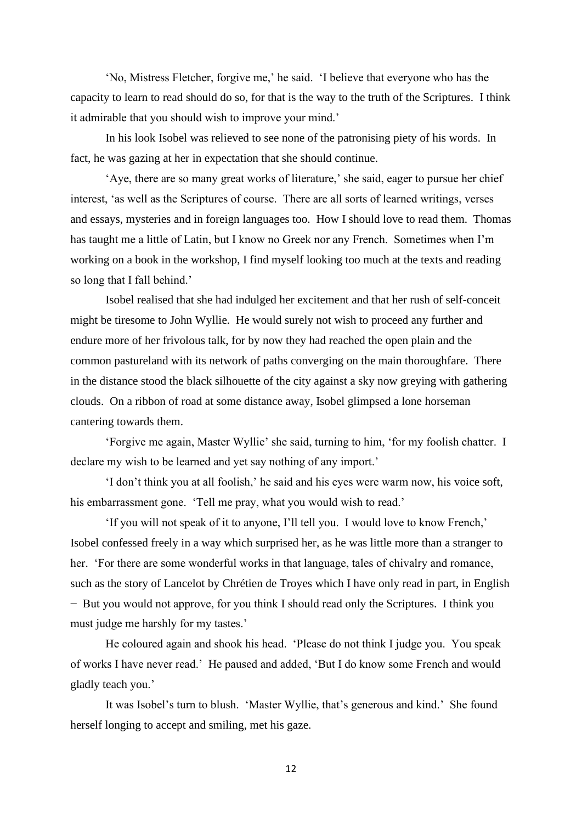'No, Mistress Fletcher, forgive me,' he said. 'I believe that everyone who has the capacity to learn to read should do so, for that is the way to the truth of the Scriptures. I think it admirable that you should wish to improve your mind.'

In his look Isobel was relieved to see none of the patronising piety of his words. In fact, he was gazing at her in expectation that she should continue.

'Aye, there are so many great works of literature,' she said, eager to pursue her chief interest, 'as well as the Scriptures of course. There are all sorts of learned writings, verses and essays, mysteries and in foreign languages too. How I should love to read them. Thomas has taught me a little of Latin, but I know no Greek nor any French. Sometimes when I'm working on a book in the workshop, I find myself looking too much at the texts and reading so long that I fall behind.'

Isobel realised that she had indulged her excitement and that her rush of self-conceit might be tiresome to John Wyllie. He would surely not wish to proceed any further and endure more of her frivolous talk, for by now they had reached the open plain and the common pastureland with its network of paths converging on the main thoroughfare. There in the distance stood the black silhouette of the city against a sky now greying with gathering clouds. On a ribbon of road at some distance away, Isobel glimpsed a lone horseman cantering towards them.

'Forgive me again, Master Wyllie' she said, turning to him, 'for my foolish chatter. I declare my wish to be learned and yet say nothing of any import.'

'I don't think you at all foolish,' he said and his eyes were warm now, his voice soft, his embarrassment gone. 'Tell me pray, what you would wish to read.'

'If you will not speak of it to anyone, I'll tell you. I would love to know French,' Isobel confessed freely in a way which surprised her, as he was little more than a stranger to her. 'For there are some wonderful works in that language, tales of chivalry and romance, such as the story of Lancelot by Chrétien de Troyes which I have only read in part, in English − But you would not approve, for you think I should read only the Scriptures. I think you must judge me harshly for my tastes.'

He coloured again and shook his head. 'Please do not think I judge you. You speak of works I have never read.' He paused and added, 'But I do know some French and would gladly teach you.'

It was Isobel's turn to blush. 'Master Wyllie, that's generous and kind.' She found herself longing to accept and smiling, met his gaze.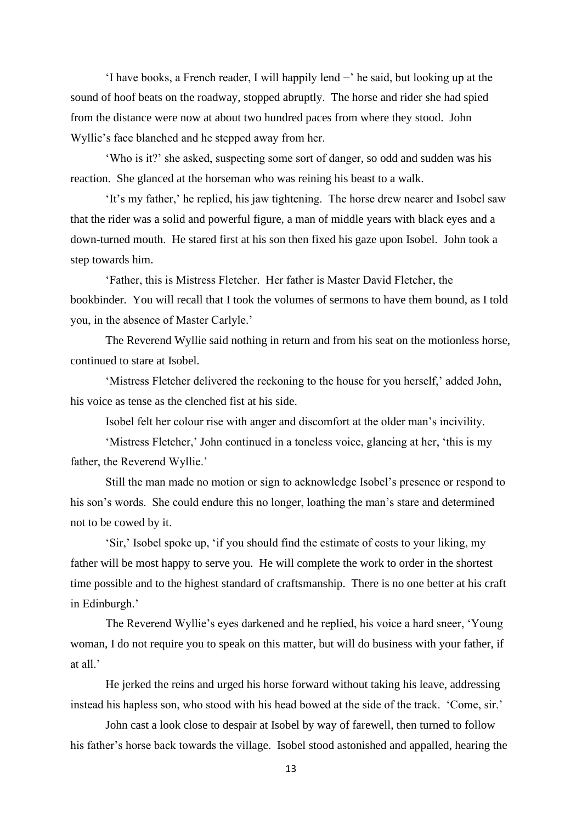$\cdot$ I have books, a French reader, I will happily lend  $\sim$  he said, but looking up at the sound of hoof beats on the roadway, stopped abruptly. The horse and rider she had spied from the distance were now at about two hundred paces from where they stood. John Wyllie's face blanched and he stepped away from her.

'Who is it?' she asked, suspecting some sort of danger, so odd and sudden was his reaction. She glanced at the horseman who was reining his beast to a walk.

'It's my father,' he replied, his jaw tightening. The horse drew nearer and Isobel saw that the rider was a solid and powerful figure, a man of middle years with black eyes and a down-turned mouth. He stared first at his son then fixed his gaze upon Isobel. John took a step towards him.

'Father, this is Mistress Fletcher. Her father is Master David Fletcher, the bookbinder. You will recall that I took the volumes of sermons to have them bound, as I told you, in the absence of Master Carlyle.'

The Reverend Wyllie said nothing in return and from his seat on the motionless horse, continued to stare at Isobel.

'Mistress Fletcher delivered the reckoning to the house for you herself,' added John, his voice as tense as the clenched fist at his side.

Isobel felt her colour rise with anger and discomfort at the older man's incivility.

'Mistress Fletcher,' John continued in a toneless voice, glancing at her, 'this is my father, the Reverend Wyllie.'

Still the man made no motion or sign to acknowledge Isobel's presence or respond to his son's words. She could endure this no longer, loathing the man's stare and determined not to be cowed by it.

'Sir,' Isobel spoke up, 'if you should find the estimate of costs to your liking, my father will be most happy to serve you. He will complete the work to order in the shortest time possible and to the highest standard of craftsmanship. There is no one better at his craft in Edinburgh.'

The Reverend Wyllie's eyes darkened and he replied, his voice a hard sneer, 'Young woman, I do not require you to speak on this matter, but will do business with your father, if at all.'

He jerked the reins and urged his horse forward without taking his leave, addressing instead his hapless son, who stood with his head bowed at the side of the track. 'Come, sir.'

John cast a look close to despair at Isobel by way of farewell, then turned to follow his father's horse back towards the village. Isobel stood astonished and appalled, hearing the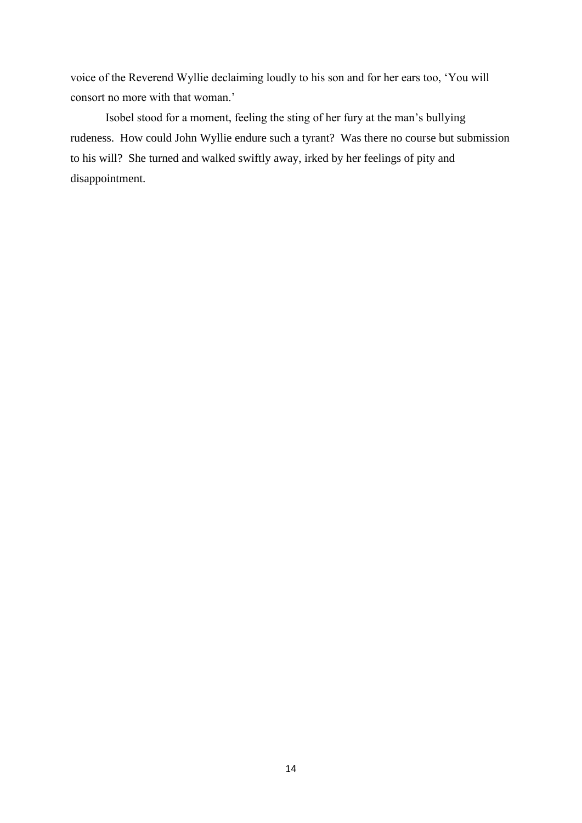voice of the Reverend Wyllie declaiming loudly to his son and for her ears too, 'You will consort no more with that woman.'

Isobel stood for a moment, feeling the sting of her fury at the man's bullying rudeness. How could John Wyllie endure such a tyrant? Was there no course but submission to his will? She turned and walked swiftly away, irked by her feelings of pity and disappointment.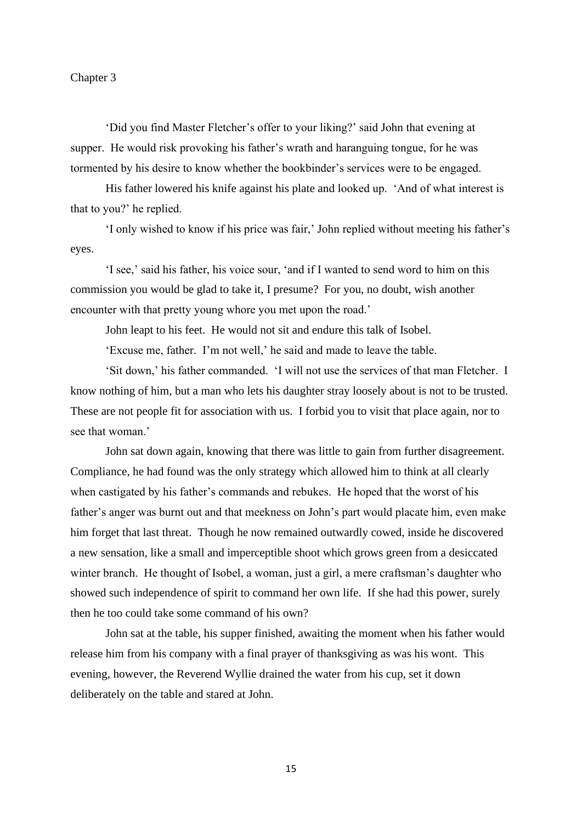## Chapter 3

'Did you find Master Fletcher's offer to your liking?' said John that evening at supper. He would risk provoking his father's wrath and haranguing tongue, for he was tormented by his desire to know whether the bookbinder's services were to be engaged.

His father lowered his knife against his plate and looked up. 'And of what interest is that to you?' he replied.

'I only wished to know if his price was fair,' John replied without meeting his father's eyes.

'I see,' said his father, his voice sour, 'and if I wanted to send word to him on this commission you would be glad to take it, I presume? For you, no doubt, wish another encounter with that pretty young whore you met upon the road.'

John leapt to his feet. He would not sit and endure this talk of Isobel.

'Excuse me, father. I'm not well,' he said and made to leave the table.

'Sit down,' his father commanded. 'I will not use the services of that man Fletcher. I know nothing of him, but a man who lets his daughter stray loosely about is not to be trusted. These are not people fit for association with us. I forbid you to visit that place again, nor to see that woman.'

John sat down again, knowing that there was little to gain from further disagreement. Compliance, he had found was the only strategy which allowed him to think at all clearly when castigated by his father's commands and rebukes. He hoped that the worst of his father's anger was burnt out and that meekness on John's part would placate him, even make him forget that last threat. Though he now remained outwardly cowed, inside he discovered a new sensation, like a small and imperceptible shoot which grows green from a desiccated winter branch. He thought of Isobel, a woman, just a girl, a mere craftsman's daughter who showed such independence of spirit to command her own life. If she had this power, surely then he too could take some command of his own?

John sat at the table, his supper finished, awaiting the moment when his father would release him from his company with a final prayer of thanksgiving as was his wont. This evening, however, the Reverend Wyllie drained the water from his cup, set it down deliberately on the table and stared at John.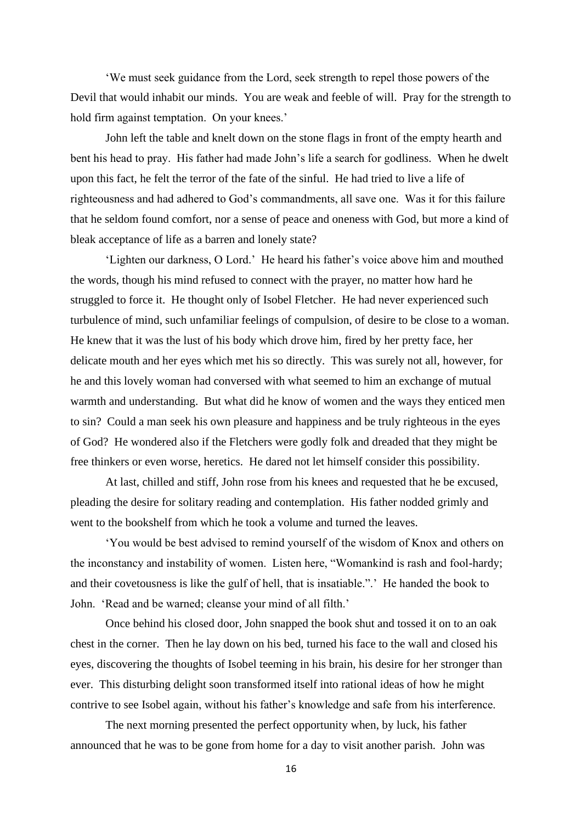'We must seek guidance from the Lord, seek strength to repel those powers of the Devil that would inhabit our minds. You are weak and feeble of will. Pray for the strength to hold firm against temptation. On your knees.'

John left the table and knelt down on the stone flags in front of the empty hearth and bent his head to pray. His father had made John's life a search for godliness. When he dwelt upon this fact, he felt the terror of the fate of the sinful. He had tried to live a life of righteousness and had adhered to God's commandments, all save one. Was it for this failure that he seldom found comfort, nor a sense of peace and oneness with God, but more a kind of bleak acceptance of life as a barren and lonely state?

'Lighten our darkness, O Lord.' He heard his father's voice above him and mouthed the words, though his mind refused to connect with the prayer, no matter how hard he struggled to force it. He thought only of Isobel Fletcher. He had never experienced such turbulence of mind, such unfamiliar feelings of compulsion, of desire to be close to a woman. He knew that it was the lust of his body which drove him, fired by her pretty face, her delicate mouth and her eyes which met his so directly. This was surely not all, however, for he and this lovely woman had conversed with what seemed to him an exchange of mutual warmth and understanding. But what did he know of women and the ways they enticed men to sin? Could a man seek his own pleasure and happiness and be truly righteous in the eyes of God? He wondered also if the Fletchers were godly folk and dreaded that they might be free thinkers or even worse, heretics. He dared not let himself consider this possibility.

At last, chilled and stiff, John rose from his knees and requested that he be excused, pleading the desire for solitary reading and contemplation. His father nodded grimly and went to the bookshelf from which he took a volume and turned the leaves.

'You would be best advised to remind yourself of the wisdom of Knox and others on the inconstancy and instability of women. Listen here, "Womankind is rash and fool-hardy; and their covetousness is like the gulf of hell, that is insatiable.".' He handed the book to John. 'Read and be warned; cleanse your mind of all filth.'

Once behind his closed door, John snapped the book shut and tossed it on to an oak chest in the corner. Then he lay down on his bed, turned his face to the wall and closed his eyes, discovering the thoughts of Isobel teeming in his brain, his desire for her stronger than ever. This disturbing delight soon transformed itself into rational ideas of how he might contrive to see Isobel again, without his father's knowledge and safe from his interference.

The next morning presented the perfect opportunity when, by luck, his father announced that he was to be gone from home for a day to visit another parish. John was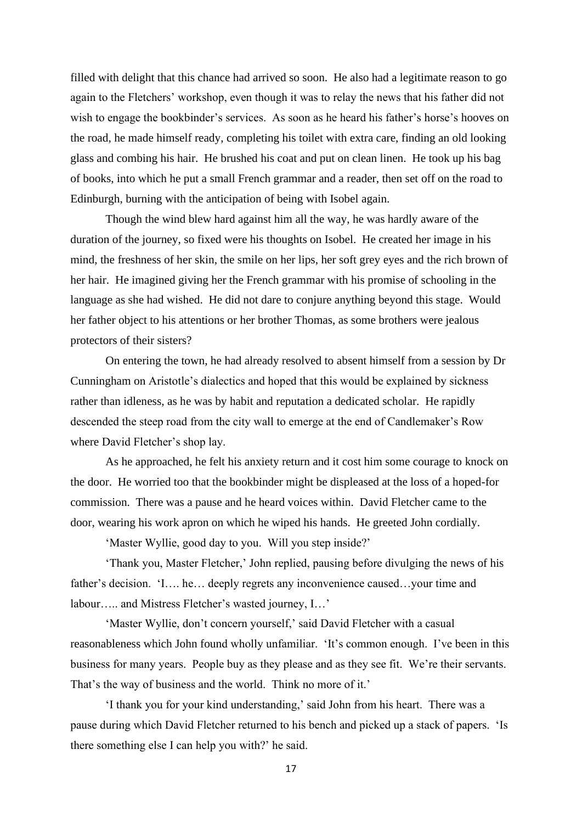filled with delight that this chance had arrived so soon. He also had a legitimate reason to go again to the Fletchers' workshop, even though it was to relay the news that his father did not wish to engage the bookbinder's services. As soon as he heard his father's horse's hooves on the road, he made himself ready, completing his toilet with extra care, finding an old looking glass and combing his hair. He brushed his coat and put on clean linen. He took up his bag of books, into which he put a small French grammar and a reader, then set off on the road to Edinburgh, burning with the anticipation of being with Isobel again.

Though the wind blew hard against him all the way, he was hardly aware of the duration of the journey, so fixed were his thoughts on Isobel. He created her image in his mind, the freshness of her skin, the smile on her lips, her soft grey eyes and the rich brown of her hair. He imagined giving her the French grammar with his promise of schooling in the language as she had wished. He did not dare to conjure anything beyond this stage. Would her father object to his attentions or her brother Thomas, as some brothers were jealous protectors of their sisters?

On entering the town, he had already resolved to absent himself from a session by Dr Cunningham on Aristotle's dialectics and hoped that this would be explained by sickness rather than idleness, as he was by habit and reputation a dedicated scholar. He rapidly descended the steep road from the city wall to emerge at the end of Candlemaker's Row where David Fletcher's shop lay.

As he approached, he felt his anxiety return and it cost him some courage to knock on the door. He worried too that the bookbinder might be displeased at the loss of a hoped-for commission. There was a pause and he heard voices within. David Fletcher came to the door, wearing his work apron on which he wiped his hands. He greeted John cordially.

'Master Wyllie, good day to you. Will you step inside?'

'Thank you, Master Fletcher,' John replied, pausing before divulging the news of his father's decision. 'I... he... deeply regrets any inconvenience caused...your time and labour….. and Mistress Fletcher's wasted journey, I…'

'Master Wyllie, don't concern yourself,' said David Fletcher with a casual reasonableness which John found wholly unfamiliar. 'It's common enough. I've been in this business for many years. People buy as they please and as they see fit. We're their servants. That's the way of business and the world. Think no more of it.'

'I thank you for your kind understanding,' said John from his heart. There was a pause during which David Fletcher returned to his bench and picked up a stack of papers. 'Is there something else I can help you with?' he said.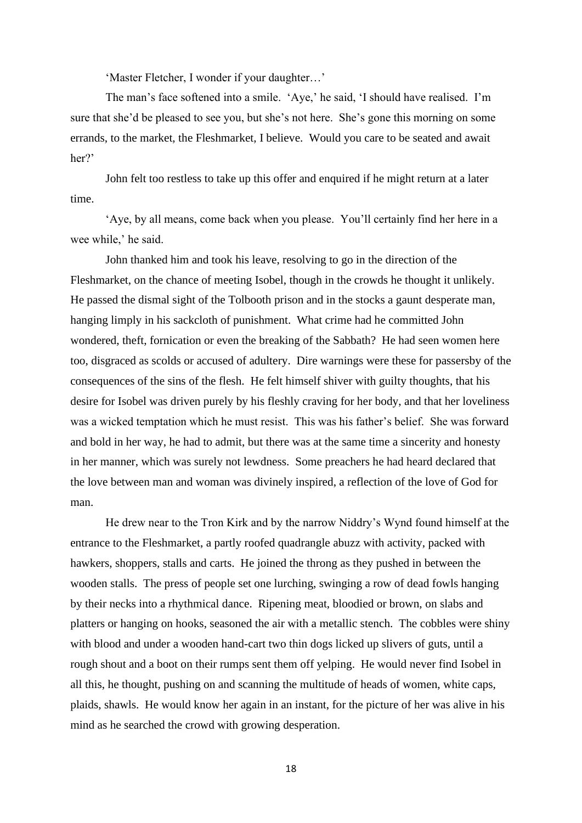'Master Fletcher, I wonder if your daughter…'

The man's face softened into a smile. 'Aye,' he said, 'I should have realised. I'm sure that she'd be pleased to see you, but she's not here. She's gone this morning on some errands, to the market, the Fleshmarket, I believe. Would you care to be seated and await her?'

John felt too restless to take up this offer and enquired if he might return at a later time.

'Aye, by all means, come back when you please. You'll certainly find her here in a wee while,' he said.

John thanked him and took his leave, resolving to go in the direction of the Fleshmarket, on the chance of meeting Isobel, though in the crowds he thought it unlikely. He passed the dismal sight of the Tolbooth prison and in the stocks a gaunt desperate man, hanging limply in his sackcloth of punishment. What crime had he committed John wondered, theft, fornication or even the breaking of the Sabbath? He had seen women here too, disgraced as scolds or accused of adultery. Dire warnings were these for passersby of the consequences of the sins of the flesh. He felt himself shiver with guilty thoughts, that his desire for Isobel was driven purely by his fleshly craving for her body, and that her loveliness was a wicked temptation which he must resist. This was his father's belief. She was forward and bold in her way, he had to admit, but there was at the same time a sincerity and honesty in her manner, which was surely not lewdness. Some preachers he had heard declared that the love between man and woman was divinely inspired, a reflection of the love of God for man.

He drew near to the Tron Kirk and by the narrow Niddry's Wynd found himself at the entrance to the Fleshmarket, a partly roofed quadrangle abuzz with activity, packed with hawkers, shoppers, stalls and carts. He joined the throng as they pushed in between the wooden stalls. The press of people set one lurching, swinging a row of dead fowls hanging by their necks into a rhythmical dance. Ripening meat, bloodied or brown, on slabs and platters or hanging on hooks, seasoned the air with a metallic stench. The cobbles were shiny with blood and under a wooden hand-cart two thin dogs licked up slivers of guts, until a rough shout and a boot on their rumps sent them off yelping. He would never find Isobel in all this, he thought, pushing on and scanning the multitude of heads of women, white caps, plaids, shawls. He would know her again in an instant, for the picture of her was alive in his mind as he searched the crowd with growing desperation.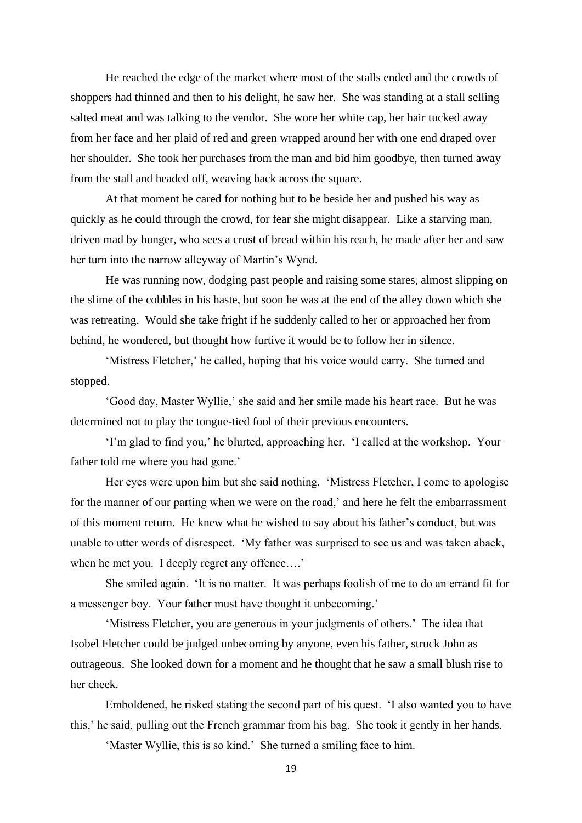He reached the edge of the market where most of the stalls ended and the crowds of shoppers had thinned and then to his delight, he saw her. She was standing at a stall selling salted meat and was talking to the vendor. She wore her white cap, her hair tucked away from her face and her plaid of red and green wrapped around her with one end draped over her shoulder. She took her purchases from the man and bid him goodbye, then turned away from the stall and headed off, weaving back across the square.

At that moment he cared for nothing but to be beside her and pushed his way as quickly as he could through the crowd, for fear she might disappear. Like a starving man, driven mad by hunger, who sees a crust of bread within his reach, he made after her and saw her turn into the narrow alleyway of Martin's Wynd.

He was running now, dodging past people and raising some stares, almost slipping on the slime of the cobbles in his haste, but soon he was at the end of the alley down which she was retreating. Would she take fright if he suddenly called to her or approached her from behind, he wondered, but thought how furtive it would be to follow her in silence.

'Mistress Fletcher,' he called, hoping that his voice would carry. She turned and stopped.

'Good day, Master Wyllie,' she said and her smile made his heart race. But he was determined not to play the tongue-tied fool of their previous encounters.

'I'm glad to find you,' he blurted, approaching her. 'I called at the workshop. Your father told me where you had gone.'

Her eyes were upon him but she said nothing. 'Mistress Fletcher, I come to apologise for the manner of our parting when we were on the road,' and here he felt the embarrassment of this moment return. He knew what he wished to say about his father's conduct, but was unable to utter words of disrespect. 'My father was surprised to see us and was taken aback, when he met you. I deeply regret any offence....'

She smiled again. 'It is no matter. It was perhaps foolish of me to do an errand fit for a messenger boy. Your father must have thought it unbecoming.'

'Mistress Fletcher, you are generous in your judgments of others.' The idea that Isobel Fletcher could be judged unbecoming by anyone, even his father, struck John as outrageous. She looked down for a moment and he thought that he saw a small blush rise to her cheek.

Emboldened, he risked stating the second part of his quest. 'I also wanted you to have this,' he said, pulling out the French grammar from his bag. She took it gently in her hands.

'Master Wyllie, this is so kind.' She turned a smiling face to him.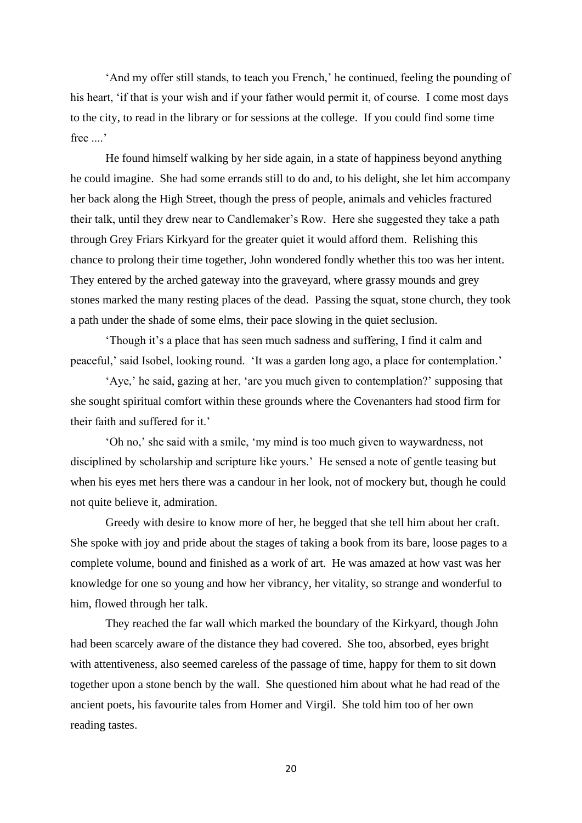'And my offer still stands, to teach you French,' he continued, feeling the pounding of his heart, 'if that is your wish and if your father would permit it, of course. I come most days to the city, to read in the library or for sessions at the college. If you could find some time free ....'

He found himself walking by her side again, in a state of happiness beyond anything he could imagine. She had some errands still to do and, to his delight, she let him accompany her back along the High Street, though the press of people, animals and vehicles fractured their talk, until they drew near to Candlemaker's Row. Here she suggested they take a path through Grey Friars Kirkyard for the greater quiet it would afford them. Relishing this chance to prolong their time together, John wondered fondly whether this too was her intent. They entered by the arched gateway into the graveyard, where grassy mounds and grey stones marked the many resting places of the dead. Passing the squat, stone church, they took a path under the shade of some elms, their pace slowing in the quiet seclusion.

'Though it's a place that has seen much sadness and suffering, I find it calm and peaceful,' said Isobel, looking round. 'It was a garden long ago, a place for contemplation.'

'Aye,' he said, gazing at her, 'are you much given to contemplation?' supposing that she sought spiritual comfort within these grounds where the Covenanters had stood firm for their faith and suffered for it.'

'Oh no,' she said with a smile, 'my mind is too much given to waywardness, not disciplined by scholarship and scripture like yours.' He sensed a note of gentle teasing but when his eyes met hers there was a candour in her look, not of mockery but, though he could not quite believe it, admiration.

Greedy with desire to know more of her, he begged that she tell him about her craft. She spoke with joy and pride about the stages of taking a book from its bare, loose pages to a complete volume, bound and finished as a work of art. He was amazed at how vast was her knowledge for one so young and how her vibrancy, her vitality, so strange and wonderful to him, flowed through her talk.

They reached the far wall which marked the boundary of the Kirkyard, though John had been scarcely aware of the distance they had covered. She too, absorbed, eyes bright with attentiveness, also seemed careless of the passage of time, happy for them to sit down together upon a stone bench by the wall. She questioned him about what he had read of the ancient poets, his favourite tales from Homer and Virgil. She told him too of her own reading tastes.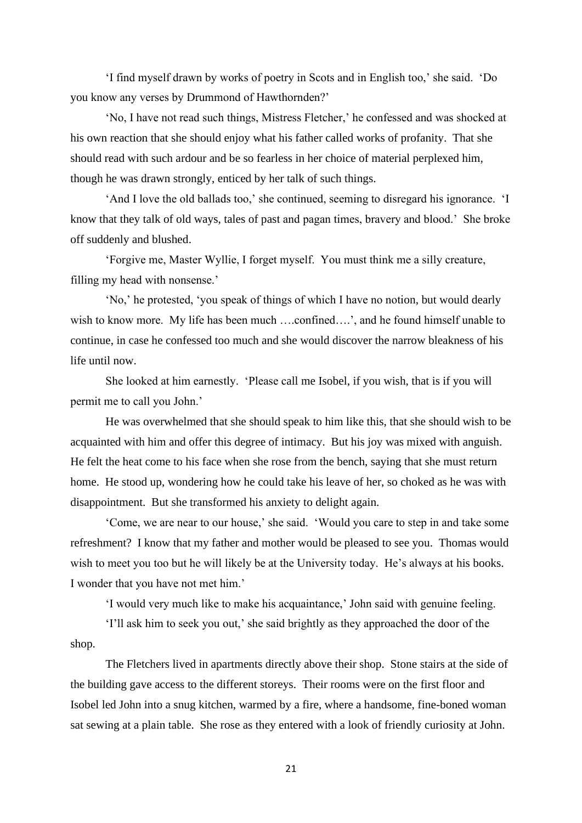'I find myself drawn by works of poetry in Scots and in English too,' she said. 'Do you know any verses by Drummond of Hawthornden?'

'No, I have not read such things, Mistress Fletcher,' he confessed and was shocked at his own reaction that she should enjoy what his father called works of profanity. That she should read with such ardour and be so fearless in her choice of material perplexed him, though he was drawn strongly, enticed by her talk of such things.

'And I love the old ballads too,' she continued, seeming to disregard his ignorance. 'I know that they talk of old ways, tales of past and pagan times, bravery and blood.' She broke off suddenly and blushed.

'Forgive me, Master Wyllie, I forget myself. You must think me a silly creature, filling my head with nonsense.'

'No,' he protested, 'you speak of things of which I have no notion, but would dearly wish to know more. My life has been much ....confined....', and he found himself unable to continue, in case he confessed too much and she would discover the narrow bleakness of his life until now.

She looked at him earnestly. 'Please call me Isobel, if you wish, that is if you will permit me to call you John.'

He was overwhelmed that she should speak to him like this, that she should wish to be acquainted with him and offer this degree of intimacy. But his joy was mixed with anguish. He felt the heat come to his face when she rose from the bench, saying that she must return home. He stood up, wondering how he could take his leave of her, so choked as he was with disappointment. But she transformed his anxiety to delight again.

'Come, we are near to our house,' she said. 'Would you care to step in and take some refreshment? I know that my father and mother would be pleased to see you. Thomas would wish to meet you too but he will likely be at the University today. He's always at his books. I wonder that you have not met him.'

'I would very much like to make his acquaintance,' John said with genuine feeling.

'I'll ask him to seek you out,' she said brightly as they approached the door of the shop.

The Fletchers lived in apartments directly above their shop. Stone stairs at the side of the building gave access to the different storeys. Their rooms were on the first floor and Isobel led John into a snug kitchen, warmed by a fire, where a handsome, fine-boned woman sat sewing at a plain table. She rose as they entered with a look of friendly curiosity at John.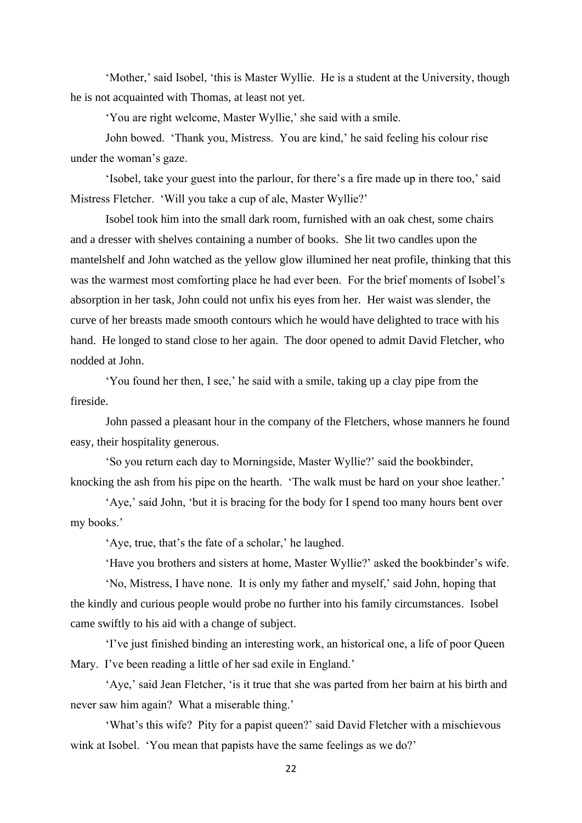'Mother,' said Isobel, 'this is Master Wyllie. He is a student at the University, though he is not acquainted with Thomas, at least not yet.

'You are right welcome, Master Wyllie,' she said with a smile.

John bowed. 'Thank you, Mistress. You are kind,' he said feeling his colour rise under the woman's gaze.

'Isobel, take your guest into the parlour, for there's a fire made up in there too,' said Mistress Fletcher. 'Will you take a cup of ale, Master Wyllie?'

Isobel took him into the small dark room, furnished with an oak chest, some chairs and a dresser with shelves containing a number of books. She lit two candles upon the mantelshelf and John watched as the yellow glow illumined her neat profile, thinking that this was the warmest most comforting place he had ever been. For the brief moments of Isobel's absorption in her task, John could not unfix his eyes from her. Her waist was slender, the curve of her breasts made smooth contours which he would have delighted to trace with his hand. He longed to stand close to her again. The door opened to admit David Fletcher, who nodded at John.

'You found her then, I see,' he said with a smile, taking up a clay pipe from the fireside.

John passed a pleasant hour in the company of the Fletchers, whose manners he found easy, their hospitality generous.

'So you return each day to Morningside, Master Wyllie?' said the bookbinder, knocking the ash from his pipe on the hearth. 'The walk must be hard on your shoe leather.'

'Aye,' said John, 'but it is bracing for the body for I spend too many hours bent over my books.'

'Aye, true, that's the fate of a scholar,' he laughed.

'Have you brothers and sisters at home, Master Wyllie?' asked the bookbinder's wife.

'No, Mistress, I have none. It is only my father and myself,' said John, hoping that the kindly and curious people would probe no further into his family circumstances. Isobel came swiftly to his aid with a change of subject.

'I've just finished binding an interesting work, an historical one, a life of poor Queen Mary. I've been reading a little of her sad exile in England.'

'Aye,' said Jean Fletcher, 'is it true that she was parted from her bairn at his birth and never saw him again? What a miserable thing.'

'What's this wife? Pity for a papist queen?' said David Fletcher with a mischievous wink at Isobel. 'You mean that papists have the same feelings as we do?'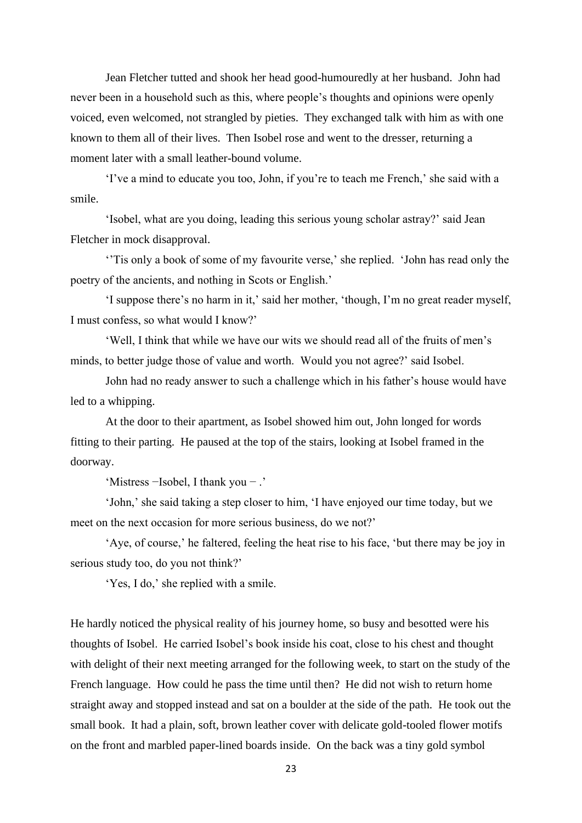Jean Fletcher tutted and shook her head good-humouredly at her husband. John had never been in a household such as this, where people's thoughts and opinions were openly voiced, even welcomed, not strangled by pieties. They exchanged talk with him as with one known to them all of their lives. Then Isobel rose and went to the dresser, returning a moment later with a small leather-bound volume.

'I've a mind to educate you too, John, if you're to teach me French,' she said with a smile.

'Isobel, what are you doing, leading this serious young scholar astray?' said Jean Fletcher in mock disapproval.

''Tis only a book of some of my favourite verse,' she replied. 'John has read only the poetry of the ancients, and nothing in Scots or English.'

'I suppose there's no harm in it,' said her mother, 'though, I'm no great reader myself, I must confess, so what would I know?'

'Well, I think that while we have our wits we should read all of the fruits of men's minds, to better judge those of value and worth. Would you not agree?' said Isobel.

John had no ready answer to such a challenge which in his father's house would have led to a whipping.

At the door to their apartment, as Isobel showed him out, John longed for words fitting to their parting. He paused at the top of the stairs, looking at Isobel framed in the doorway.

'Mistress −Isobel, I thank you − .'

'John,' she said taking a step closer to him, 'I have enjoyed our time today, but we meet on the next occasion for more serious business, do we not?'

'Aye, of course,' he faltered, feeling the heat rise to his face, 'but there may be joy in serious study too, do you not think?'

'Yes, I do,' she replied with a smile.

He hardly noticed the physical reality of his journey home, so busy and besotted were his thoughts of Isobel. He carried Isobel's book inside his coat, close to his chest and thought with delight of their next meeting arranged for the following week, to start on the study of the French language. How could he pass the time until then? He did not wish to return home straight away and stopped instead and sat on a boulder at the side of the path. He took out the small book. It had a plain, soft, brown leather cover with delicate gold-tooled flower motifs on the front and marbled paper-lined boards inside. On the back was a tiny gold symbol